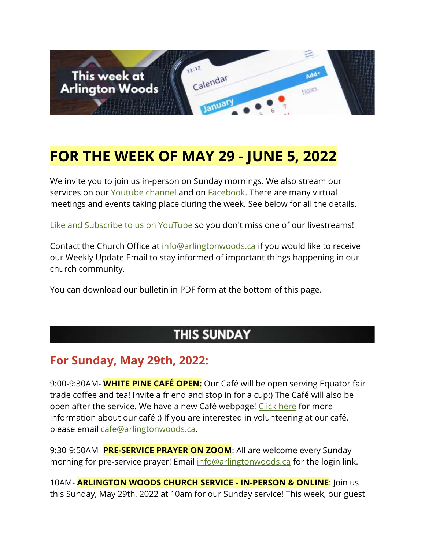

# **FOR THE WEEK OF MAY 29 - JUNE 5, 2022**

We invite you to join us in-person on Sunday mornings. We also stream our services on our [Youtube channel](https://www.youtube.com/channel/UCN0jh5__-PL-Mpw_3v-4lMg) and on **Facebook**. There are many virtual meetings and events taking place during the week. See below for all the details.

[Like and Subscribe to us on YouTube](http://www.youtube.com/ArlingtonWoodsChurch) so you don't miss one of our livestreams!

Contact the Church Office at [info@arlingtonwoods.ca](mailto:info@arlingtonwoods.ca) if you would like to receive our Weekly Update Email to stay informed of important things happening in our church community.

You can download our bulletin in PDF form at the bottom of this page.

### **THIS SUNDAY**

#### **For Sunday, May 29th, 2022:**

9:00-9:30AM- **WHITE PINE CAFÉ OPEN:** Our Café will be open serving Equator fair trade coffee and tea! Invite a friend and stop in for a cup:) The Café will also be open after the service. We have a new Café webpage! [Click here](https://arlingtonwoods.ca/cafe.php) for more information about our café :) If you are interested in volunteering at our café, please email [cafe@arlingtonwoods.ca.](mailto:cafe@arlingtonwoods.ca)

9:30-9:50AM- **PRE-SERVICE PRAYER ON ZOOM**: All are welcome every Sunday morning for pre-service prayer! Email [info@arlingtonwoods.ca](mailto:info@arlingtonwoods.ca) for the login link.

10AM- **ARLINGTON WOODS CHURCH SERVICE - IN-PERSON & ONLINE**: Join us this Sunday, May 29th, 2022 at 10am for our Sunday service! This week, our guest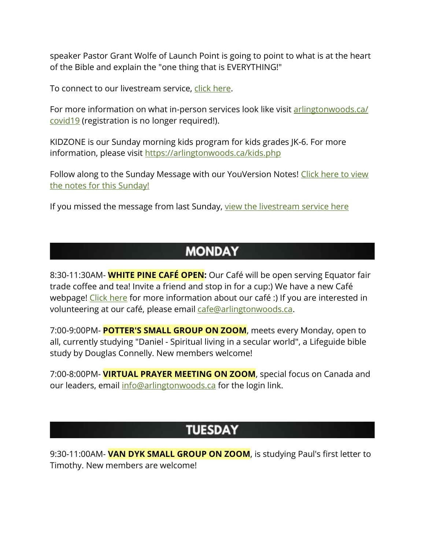speaker Pastor Grant Wolfe of Launch Point is going to point to what is at the heart of the Bible and explain the "one thing that is EVERYTHING!"

To connect to our livestream service, [click here.](https://www.youtube.com/channel/UCN0jh5__-PL-Mpw_3v-4lMg)

For more information on what in-person services look like visit arlingtonwoods.ca/ [covid19](https://arlingtonwoods.ca/covid19.php) (registration is no longer required!).

KIDZONE is our Sunday morning kids program for kids grades JK-6. For more information, please visit <https://arlingtonwoods.ca/kids.php>

Follow along to the Sunday Message with our YouVersion Notes! Click here to view [the notes for this Sunday!](http://bible.com/events/48897281)

If you missed the message from last Sunday, [view the livestream](https://www.youtube.com/channel/UCN0jh5__-PL-Mpw_3v-4lMg) service here

#### **MONDAY**

8:30-11:30AM- **WHITE PINE CAFÉ OPEN:** Our Café will be open serving Equator fair trade coffee and tea! Invite a friend and stop in for a cup:) We have a new Café webpage! [Click here](https://arlingtonwoods.ca/cafe.php) for more information about our café :) If you are interested in volunteering at our café, please email [cafe@arlingtonwoods.ca.](mailto:cafe@arlingtonwoods.ca)

7:00-9:00PM- **POTTER'S SMALL GROUP ON ZOOM**, meets every Monday, open to all, currently studying "Daniel - Spiritual living in a secular world", a Lifeguide bible study by Douglas Connelly. New members welcome!

7:00-8:00PM- **VIRTUAL PRAYER MEETING ON ZOOM**, special focus on Canada and our leaders, email [info@arlingtonwoods.ca](mailto:info@arlingtonwoods.ca) for the login link.

### **TUESDAY**

9:30-11:00AM- **VAN DYK SMALL GROUP ON ZOOM**, is studying Paul's first letter to Timothy. New members are welcome!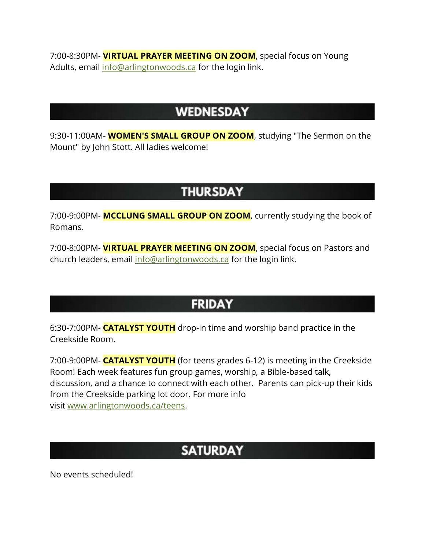7:00-8:30PM- **VIRTUAL PRAYER MEETING ON ZOOM**, special focus on Young Adults, email [info@arlingtonwoods.ca](mailto:info@arlingtonwoods.ca) for the login link.

#### **WEDNESDAY**

9:30-11:00AM- **WOMEN'S SMALL GROUP ON ZOOM**, studying "The Sermon on the Mount" by John Stott. All ladies welcome!

## **THURSDAY**

7:00-9:00PM- **MCCLUNG SMALL GROUP ON ZOOM**, currently studying the book of Romans.

7:00-8:00PM- **VIRTUAL PRAYER MEETING ON ZOOM**, special focus on Pastors and church leaders, email [info@arlingtonwoods.ca](mailto:info@arlingtonwoods.ca) for the login link.

## **FRIDAY**

6:30-7:00PM- **CATALYST YOUTH** drop-in time and worship band practice in the Creekside Room.

7:00-9:00PM- **CATALYST YOUTH** (for teens grades 6-12) is meeting in the Creekside Room! Each week features fun group games, worship, a Bible-based talk, discussion, and a chance to connect with each other. Parents can pick-up their kids from the Creekside parking lot door. For more info visit [www.arlingtonwoods.ca/teens.](https://arlingtonwoods.ca/teens.php)

# **SATURDAY**

No events scheduled!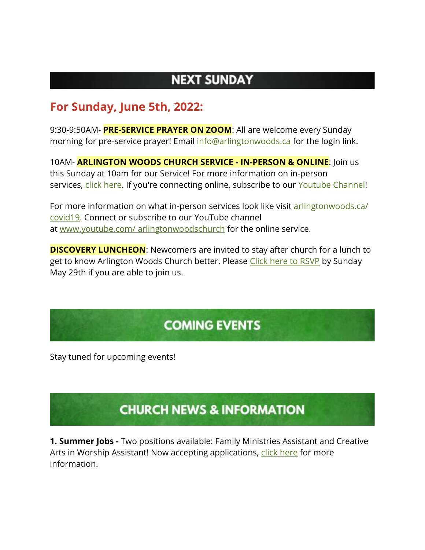## **NEXT SUNDAY**

#### **For Sunday, June 5th, 2022:**

9:30-9:50AM- **PRE-SERVICE PRAYER ON ZOOM**: All are welcome every Sunday morning for pre-service prayer! Email [info@arlingtonwoods.ca](mailto:info@arlingtonwoods.ca) for the login link.

10AM- **ARLINGTON WOODS CHURCH SERVICE - IN-PERSON & ONLINE**: Join us this Sunday at 10am for our Service! For more information on in-person services, [click here.](https://arlingtonwoods.ca/covid19.php) If you're connecting online, subscribe to our [Youtube Channel!](http://www.youtube.com/ArlingtonWoodsChurch)

For more information on what in-person services look like visit arlingtonwoods.ca/ [covid19.](https://arlingtonwoods.ca/covid19.php) Connect or subscribe to our YouTube channel at www.youtube.com/ [arlingtonwoodschurch](https://www.youtube.com/arlingtonwoodschurch?fbclid=IwAR1K03d9v3OMa1Bqo2xqkwUEbYKvPn60o0X0P74EyVl8ju-MWi7a3_oXTqY) for the online service.

**DISCOVERY LUNCHEON:** Newcomers are invited to stay after church for a lunch to get to know Arlington Woods Church better. Please [Click here to RSVP](http://www.arlingtonwoods.ca/lunch) by Sunday May 29th if you are able to join us.

# **COMING EVENTS**

Stay tuned for upcoming events!

# **CHURCH NEWS & INFORMATION**

**1. Summer Jobs -** Two positions available: Family Ministries Assistant and Creative Arts in Worship Assistant! Now accepting applications, [click here](https://arlingtonwoods.ca/employment.php) for more information.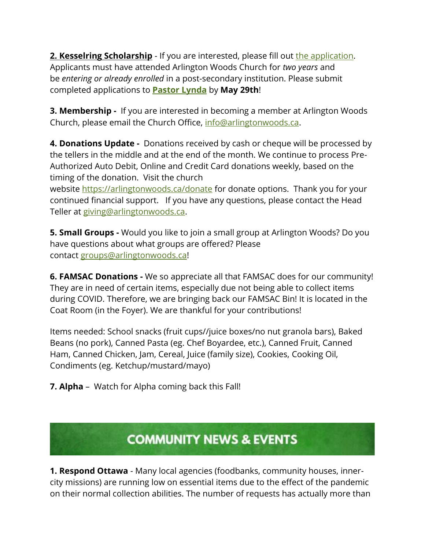**2. Kesselring Scholarship** - If you are interested, please fill out [the application.](https://arlingtonwoods.ca/photos/custom/PDF/Patrick%20Kesselring%20Scholarship.pdf) Applicants must have attended Arlington Woods Church for *two years* and be *entering or already enrolled* in a post-secondary institution. Please submit completed applications to **[Pastor Lynda](mailto:lynda@arlingtonwoods.ca)** by **May 29th**!

**3. Membership -** If you are interested in becoming a member at Arlington Woods Church, please email the Church Office, [info@arlingtonwoods.ca.](mailto:info@arlingtonwoods.ca)

**4. Donations Update -** Donations received by cash or cheque will be processed by the tellers in the middle and at the end of the month. We continue to process Pre-Authorized Auto Debit, Online and Credit Card donations weekly, based on the timing of the donation. Visit the church

website <https://arlingtonwoods.ca/donate> for donate options. Thank you for your continued financial support. If you have any questions, please contact the Head Teller at [giving@arlingtonwoods.ca.](mailto:giving@arlingtonwoods.ca)

**5. Small Groups -** Would you like to join a small group at Arlington Woods? Do you have questions about what groups are offered? Please contact [groups@arlingtonwoods.ca!](mailto:groups@arlingtonwoods.ca)

**6. FAMSAC Donations -** We so appreciate all that FAMSAC does for our community! They are in need of certain items, especially due not being able to collect items during COVID. Therefore, we are bringing back our FAMSAC Bin! It is located in the Coat Room (in the Foyer). We are thankful for your contributions!

Items needed: School snacks (fruit cups//juice boxes/no nut granola bars), Baked Beans (no pork), Canned Pasta (eg. Chef Boyardee, etc.), Canned Fruit, Canned Ham, Canned Chicken, Jam, Cereal, Juice (family size), Cookies, Cooking Oil, Condiments (eg. Ketchup/mustard/mayo)

**7. Alpha** – Watch for Alpha coming back this Fall!

## **COMMUNITY NEWS & EVENTS**

**1. Respond Ottawa** - Many local agencies (foodbanks, community houses, innercity missions) are running low on essential items due to the effect of the pandemic on their normal collection abilities. The number of requests has actually more than